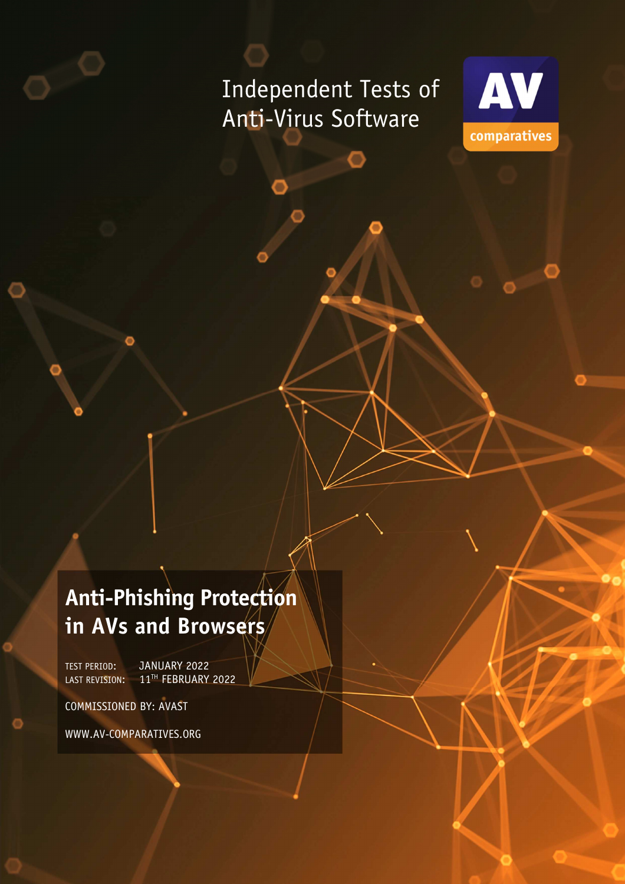# Independent Tests of Anti-Virus Software



# **Anti-Phishing Protection in AVs and Browsers**

TEST PERIOD: JANUARY 2022 LAST REVISION: 11TH FEBRUARY 2022

COMMISSIONED BY: AVAST

WWW.AV-COMPARATIVES.ORG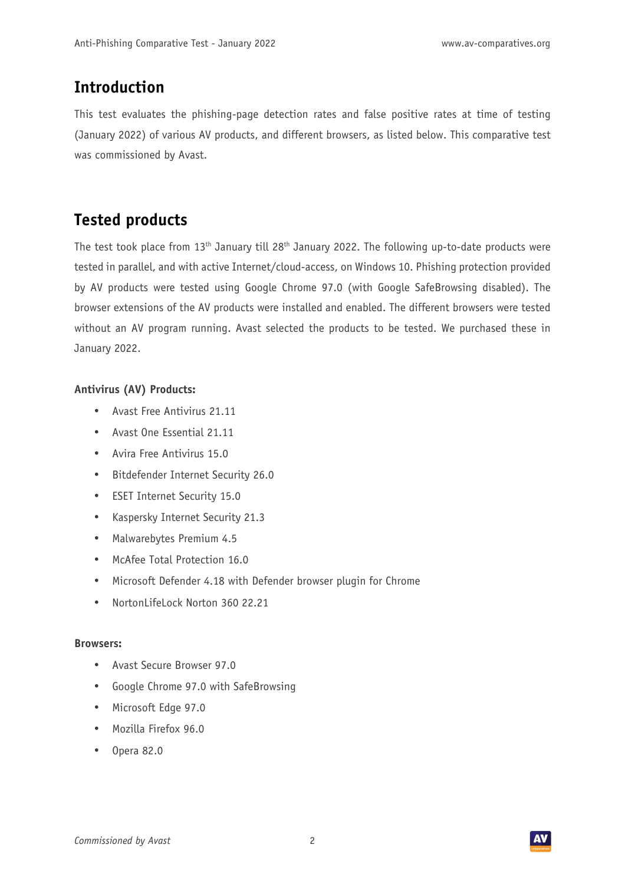### **Introduction**

This test evaluates the phishing-page detection rates and false positive rates at time of testing (January 2022) of various AV products, and different browsers, as listed below. This comparative test was commissioned by Avast.

### **Tested products**

The test took place from 13<sup>th</sup> January till 28<sup>th</sup> January 2022. The following up-to-date products were tested in parallel, and with active Internet/cloud-access, on Windows 10. Phishing protection provided by AV products were tested using Google Chrome 97.0 (with Google SafeBrowsing disabled). The browser extensions of the AV products were installed and enabled. The different browsers were tested without an AV program running. Avast selected the products to be tested. We purchased these in January 2022.

#### **Antivirus (AV) Products:**

- Avast Free Antivirus 21.11
- Avast One Essential 21.11
- Avira Free Antivirus 15.0
- Bitdefender Internet Security 26.0
- ESET Internet Security 15.0
- Kaspersky Internet Security 21.3
- Malwarebytes Premium 4.5
- McAfee Total Protection 16.0
- Microsoft Defender 4.18 with Defender browser plugin for Chrome
- NortonLifeLock Norton 360 22.21

#### **Browsers:**

- Avast Secure Browser 97.0
- Google Chrome 97.0 with SafeBrowsing
- Microsoft Edge 97.0
- Mozilla Firefox 96.0
- Opera 82.0

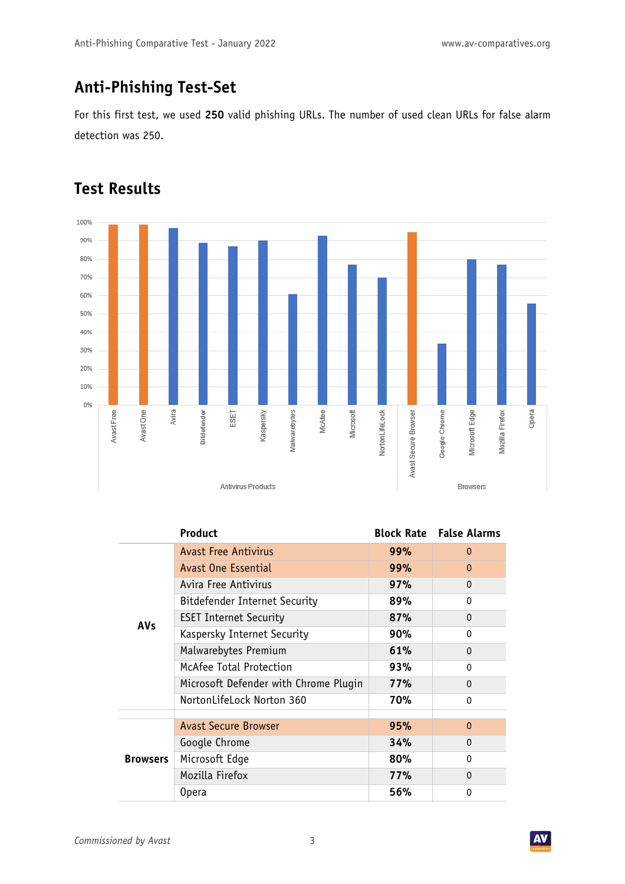## **Anti-Phishing Test-Set**

For this first test, we used **250** valid phishing URLs. The number of used clean URLs for false alarm detection was 250.

#### 100% 90% 80% 70% 60% 50% 40% 30% 20% 10% 0% Avira Avast Free Avast One Bitdefender ESET Kaspersky Malwarebytes Microsoft NortonLifeLock Avast Secure Browser Google Chrome McAfee Microsoft Edge Mozilla Firefox Antivirus Products Browsers

### **Test Results**

|                 | <b>Product</b>                        |     | <b>Block Rate</b> False Alarms |
|-----------------|---------------------------------------|-----|--------------------------------|
| <b>AVs</b>      | <b>Avast Free Antivirus</b>           | 99% | $\Omega$                       |
|                 | Avast One Essential                   | 99% | $\mathbf{0}$                   |
|                 | Avira Free Antivirus                  | 97% | $\mathbf{0}$                   |
|                 | <b>Bitdefender Internet Security</b>  | 89% | $\Omega$                       |
|                 | <b>ESET Internet Security</b>         | 87% | $\mathbf{0}$                   |
|                 | Kaspersky Internet Security           | 90% | $\Omega$                       |
|                 | Malwarebytes Premium                  | 61% | 0                              |
|                 | McAfee Total Protection               | 93% | $\Omega$                       |
|                 | Microsoft Defender with Chrome Plugin | 77% | $\Omega$                       |
|                 | NortonLifeLock Norton 360             | 70% | $\Omega$                       |
|                 |                                       |     |                                |
| <b>Browsers</b> | <b>Avast Secure Browser</b>           | 95% | $\Omega$                       |
|                 | Google Chrome                         | 34% | $\mathbf{0}$                   |
|                 | Microsoft Edge                        | 80% | $\Omega$                       |
|                 | Mozilla Firefox                       | 77% | $\Omega$                       |
|                 | 0pera                                 | 56% | 0                              |

Opera